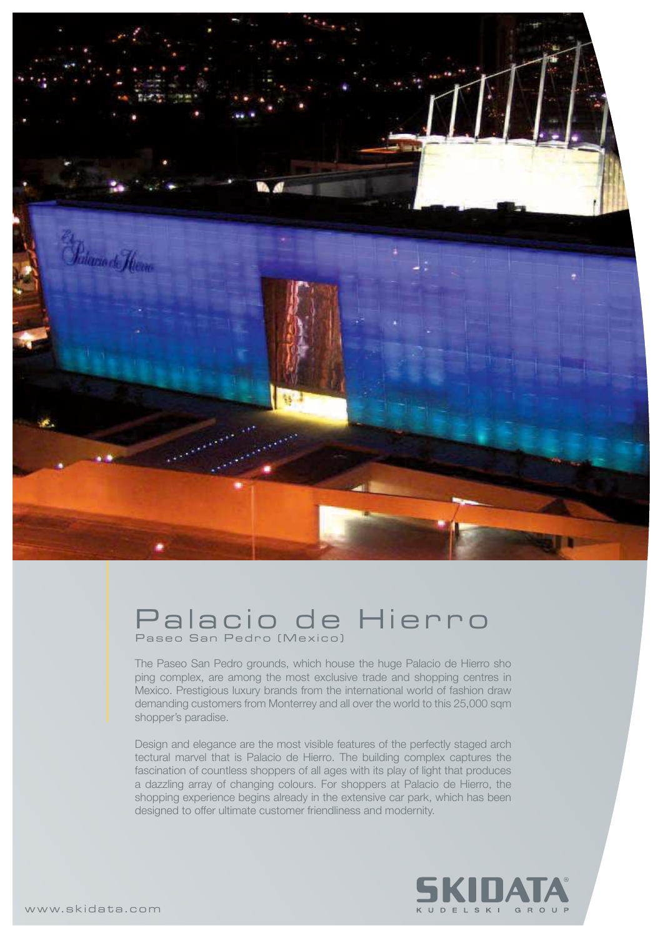

## Palacio de Hierro Paseo San Pedro (Mexico)

The Paseo San Pedro grounds, which house the huge Palacio de Hierro sho ping complex, are among the most exclusive trade and shopping centres in Mexico. Prestigious luxury brands from the international world of fashion draw demanding customers from Monterrey and all over the world to this 25,000 sqm shopper's paradise.

Design and elegance are the most visible features of the perfectly staged arch tectural marvel that is Palacio de Hierro. The building complex captures the fascination of countless shoppers of all ages with its play of light that produces a dazzling array of changing colours. For shoppers at Palacio de Hierro, the shopping experience begins already in the extensive car park, which has been designed to offer ultimate customer friendliness and modernity.